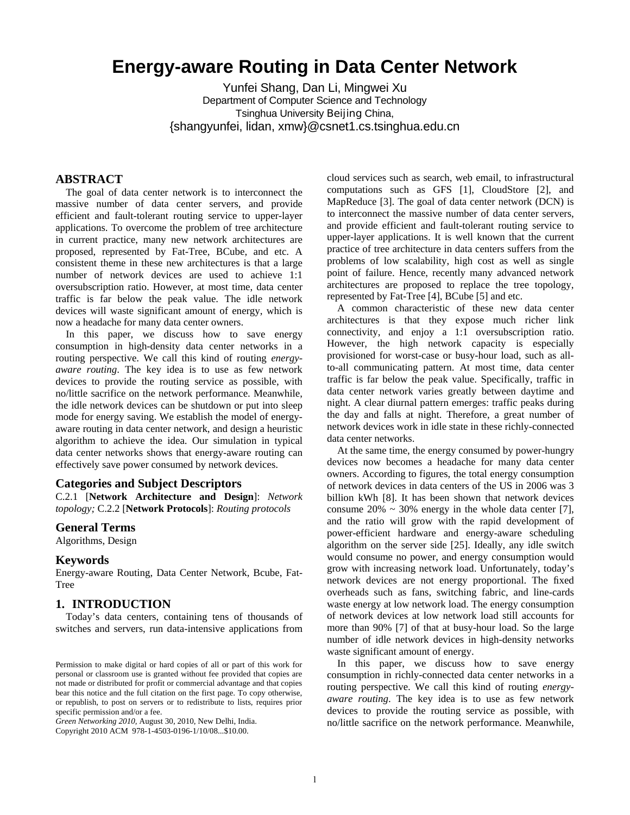# **Energy-aware Routing in Data Center Network**

Yunfei Shang, Dan Li, Mingwei Xu Department of Computer Science and Technology Tsinghua University Beijing China, {shangyunfei, lidan, xmw}@csnet1.cs.tsinghua.edu.cn

# **ABSTRACT**

The goal of data center network is to interconnect the massive number of data center servers, and provide efficient and fault-tolerant routing service to upper-layer applications. To overcome the problem of tree architecture in current practice, many new network architectures are proposed, represented by Fat-Tree, BCube, and etc. A consistent theme in these new architectures is that a large number of network devices are used to achieve 1:1 oversubscription ratio. However, at most time, data center traffic is far below the peak value. The idle network devices will waste significant amount of energy, which is now a headache for many data center owners.

In this paper, we discuss how to save energy consumption in high-density data center networks in a routing perspective. We call this kind of routing *energyaware routing*. The key idea is to use as few network devices to provide the routing service as possible, with no/little sacrifice on the network performance. Meanwhile, the idle network devices can be shutdown or put into sleep mode for energy saving. We establish the model of energyaware routing in data center network, and design a heuristic algorithm to achieve the idea. Our simulation in typical data center networks shows that energy-aware routing can effectively save power consumed by network devices.

## **Categories and Subject Descriptors**

C.2.1 [**Network Architecture and Design**]: *Network topology;* C.2.2 [**Network Protocols**]: *Routing protocols* 

# **General Terms**

Algorithms, Design

## **Keywords**

Energy-aware Routing, Data Center Network, Bcube, Fat-Tree

## **1. INTRODUCTION**

Today's data centers, containing tens of thousands of switches and servers, run data-intensive applications from

*Green Networking 2010,* August 30, 2010, New Delhi, India.

Copyright 2010 ACM 978-1-4503-0196-1/10/08...\$10.00.

cloud services such as search, web email, to infrastructural computations such as GFS [1], CloudStore [2], and MapReduce [3]. The goal of data center network (DCN) is to interconnect the massive number of data center servers, and provide efficient and fault-tolerant routing service to upper-layer applications. It is well known that the current practice of tree architecture in data centers suffers from the problems of low scalability, high cost as well as single point of failure. Hence, recently many advanced network architectures are proposed to replace the tree topology, represented by Fat-Tree [4], BCube [5] and etc.

A common characteristic of these new data center architectures is that they expose much richer link connectivity, and enjoy a 1:1 oversubscription ratio. However, the high network capacity is especially provisioned for worst-case or busy-hour load, such as allto-all communicating pattern. At most time, data center traffic is far below the peak value. Specifically, traffic in data center network varies greatly between daytime and night. A clear diurnal pattern emerges: traffic peaks during the day and falls at night. Therefore, a great number of network devices work in idle state in these richly-connected data center networks.

At the same time, the energy consumed by power-hungry devices now becomes a headache for many data center owners. According to figures, the total energy consumption of network devices in data centers of the US in 2006 was 3 billion kWh [8]. It has been shown that network devices consume  $20\% \sim 30\%$  energy in the whole data center [7], and the ratio will grow with the rapid development of power-efficient hardware and energy-aware scheduling algorithm on the server side [25]. Ideally, any idle switch would consume no power, and energy consumption would grow with increasing network load. Unfortunately, today's network devices are not energy proportional. The fixed overheads such as fans, switching fabric, and line-cards waste energy at low network load. The energy consumption of network devices at low network load still accounts for more than 90% [7] of that at busy-hour load. So the large number of idle network devices in high-density networks waste significant amount of energy.

In this paper, we discuss how to save energy consumption in richly-connected data center networks in a routing perspective. We call this kind of routing *energyaware routing*. The key idea is to use as few network devices to provide the routing service as possible, with no/little sacrifice on the network performance. Meanwhile,

Permission to make digital or hard copies of all or part of this work for personal or classroom use is granted without fee provided that copies are not made or distributed for profit or commercial advantage and that copies bear this notice and the full citation on the first page. To copy otherwise, or republish, to post on servers or to redistribute to lists, requires prior specific permission and/or a fee.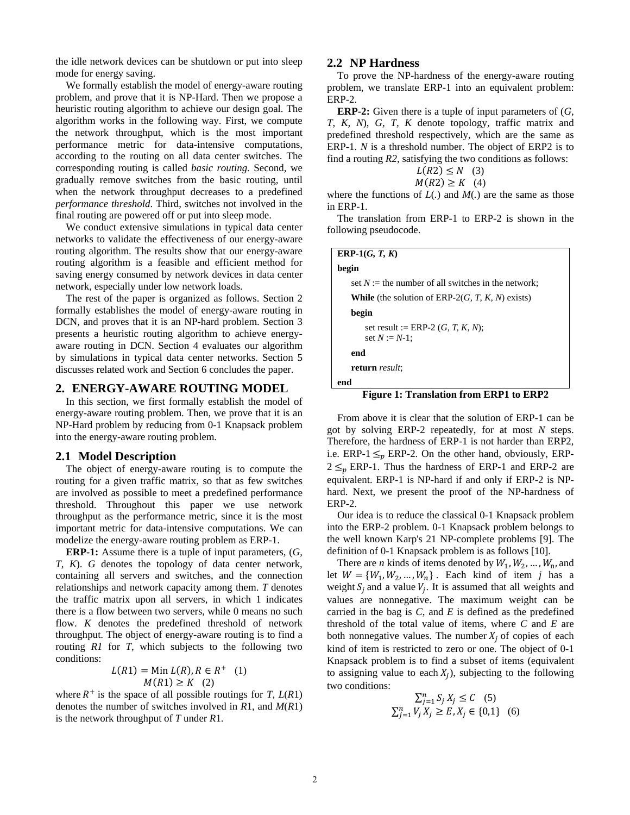the idle network devices can be shutdown or put into sleep mode for energy saving.

We formally establish the model of energy-aware routing problem, and prove that it is NP-Hard. Then we propose a heuristic routing algorithm to achieve our design goal. The algorithm works in the following way. First, we compute the network throughput, which is the most important performance metric for data-intensive computations, according to the routing on all data center switches. The corresponding routing is called *basic routing*. Second, we gradually remove switches from the basic routing, until when the network throughput decreases to a predefined *performance threshold*. Third, switches not involved in the final routing are powered off or put into sleep mode.

We conduct extensive simulations in typical data center networks to validate the effectiveness of our energy-aware routing algorithm. The results show that our energy-aware routing algorithm is a feasible and efficient method for saving energy consumed by network devices in data center network, especially under low network loads.

The rest of the paper is organized as follows. Section 2 formally establishes the model of energy-aware routing in DCN, and proves that it is an NP-hard problem. Section 3 presents a heuristic routing algorithm to achieve energyaware routing in DCN. Section 4 evaluates our algorithm by simulations in typical data center networks. Section 5 discusses related work and Section 6 concludes the paper.

### **2. ENERGY-AWARE ROUTING MODEL**

In this section, we first formally establish the model of energy-aware routing problem. Then, we prove that it is an NP-Hard problem by reducing from 0-1 Knapsack problem into the energy-aware routing problem.

### **2.1 Model Description**

The object of energy-aware routing is to compute the routing for a given traffic matrix, so that as few switches are involved as possible to meet a predefined performance threshold. Throughout this paper we use network throughput as the performance metric, since it is the most important metric for data-intensive computations. We can modelize the energy-aware routing problem as ERP-1.

**ERP-1:** Assume there is a tuple of input parameters, (*G*, *T*, *K*). *G* denotes the topology of data center network, containing all servers and switches, and the connection relationships and network capacity among them. *T* denotes the traffic matrix upon all servers, in which 1 indicates there is a flow between two servers, while 0 means no such flow. *K* denotes the predefined threshold of network throughput. The object of energy-aware routing is to find a routing *R1* for *T*, which subjects to the following two conditions:

$$
L(R1) = \text{Min } L(R), R \in R^+ \quad (1)
$$
  

$$
M(R1) \ge K \quad (2)
$$

where  $R^+$  is the space of all possible routings for *T*,  $L(R1)$ denotes the number of switches involved in *R*1, and *M*(*R*1) is the network throughput of *T* under *R*1.

### **2.2 NP Hardness**

To prove the NP-hardness of the energy-aware routing problem, we translate ERP-1 into an equivalent problem: ERP-2.

**ERP-2:** Given there is a tuple of input parameters of (*G*, *T*, *K, N*), *G*, *T*, *K* denote topology, traffic matrix and predefined threshold respectively, which are the same as ERP-1. *N* is a threshold number. The object of ERP2 is to find a routing *R2*, satisfying the two conditions as follows:  $\overline{I(D2)}$   $\geq N$  (2)

$$
L(RZ) \le N \quad (3)
$$
  

$$
M(R2) \ge K \quad (4)
$$

where the functions of *L*(*.*) and *M*(*.*) are the same as those in ERP-1.

The translation from ERP-1 to ERP-2 is shown in the following pseudocode.

| ERP-1 $(G, T, K)$                                            |
|--------------------------------------------------------------|
| begin                                                        |
| set $N :=$ the number of all switches in the network;        |
| <b>While</b> (the solution of ERP-2 $(G, T, K, N)$ ) exists) |
| begin                                                        |
| set result := ERP-2 $(G, T, K, N)$ ;<br>set $N := N-1$ ;     |
| end                                                          |
| return result;                                               |
| end<br>$ -$                                                  |

**Figure 1: Translation from ERP1 to ERP2** 

From above it is clear that the solution of ERP-1 can be got by solving ERP-2 repeatedly, for at most *N* steps. Therefore, the hardness of ERP-1 is not harder than ERP2, i.e. ERP-1  $\leq_p$  ERP-2. On the other hand, obviously, ERP- $2 \leq n$  ERP-1. Thus the hardness of ERP-1 and ERP-2 are equivalent. ERP-1 is NP-hard if and only if ERP-2 is NPhard. Next, we present the proof of the NP-hardness of ERP-2.

Our idea is to reduce the classical 0-1 Knapsack problem into the ERP-2 problem. 0-1 Knapsack problem belongs to the well known Karp's 21 NP-complete problems [9]. The definition of 0-1 Knapsack problem is as follows [10].

There are *n* kinds of items denoted by  $W_1, W_2, \ldots, W_n$ , and let  $W = \{W_1, W_2, ..., W_n\}$ . Each kind of item *j* has a weight  $S_j$  and a value  $V_j$ . It is assumed that all weights and values are nonnegative. The maximum weight can be carried in the bag is *C*, and *E* is defined as the predefined threshold of the total value of items, where *C* and *E* are both nonnegative values. The number  $X_j$  of copies of each kind of item is restricted to zero or one. The object of 0-1 Knapsack problem is to find a subset of items (equivalent to assigning value to each  $X_i$ ), subjecting to the following two conditions:

$$
\sum_{j=1}^{n} S_j X_j \le C \quad (5)
$$
  

$$
\sum_{j=1}^{n} V_j X_j \ge E, X_j \in \{0, 1\} \quad (6)
$$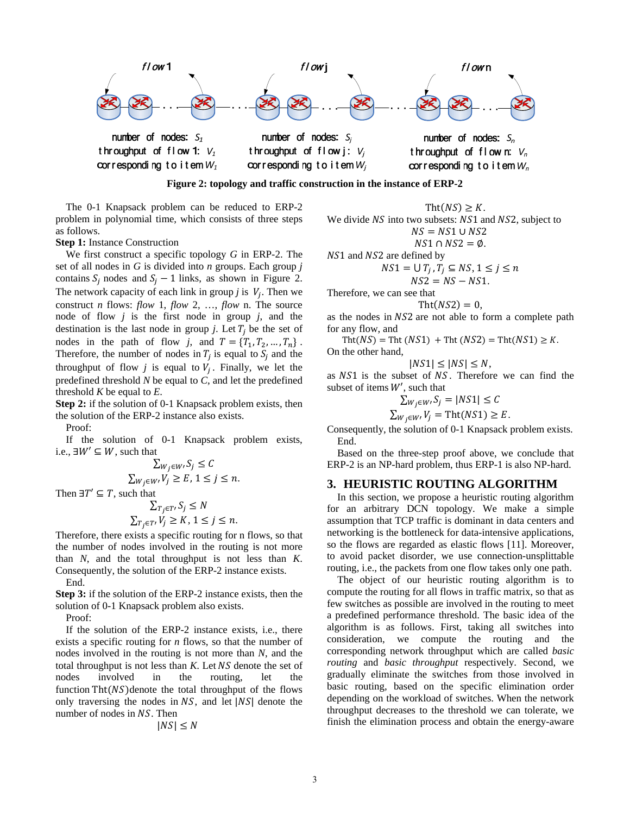

**Figure 2: topology and traffic construction in the instance of ERP-2** 

The 0-1 Knapsack problem can be reduced to ERP-2 problem in polynomial time, which consists of three steps as follows.

**Step 1:** Instance Construction

We first construct a specific topology *G* in ERP-2. The set of all nodes in *G* is divided into *n* groups. Each group *j*  contains  $S_i$  nodes and  $S_i - 1$  links, as shown in Figure 2. The network capacity of each link in group *j* is  $V_i$ . Then we construct *n* flows: *flow* 1, *flow* 2, …, *flow* n. The source node of flow *j* is the first node in group *j*, and the destination is the last node in group  $j$ . Let  $T_i$  be the set of nodes in the path of flow *j*, and  $T = \{T_1, T_2, ..., T_n\}$ . Therefore, the number of nodes in  $T_i$  is equal to  $S_i$  and the throughput of flow  $j$  is equal to  $V_j$ . Finally, we let the predefined threshold *N* be equal to *C*, and let the predefined threshold *K* be equal to *E*.

**Step 2:** if the solution of 0-1 Knapsack problem exists, then the solution of the ERP-2 instance also exists.

Proof:

If the solution of 0-1 Knapsack problem exists, i.e.,  $\exists W' \subseteq W$ , such that

$$
\sum_{W_j \in W'} S_j \le C
$$
  

$$
\sum_{W_j \in W'} V_j \ge E, 1 \le j \le n.
$$

Then  $\exists T' \subseteq T$ , such that

$$
\sum_{T_j \in T'} S_j \le N
$$
  

$$
\sum_{T_j \in T'} V_j \ge K, 1 \le j \le n.
$$

Therefore, there exists a specific routing for n flows, so that the number of nodes involved in the routing is not more than *N*, and the total throughput is not less than *K*. Consequently, the solution of the ERP-2 instance exists. End.

**Step 3:** if the solution of the ERP-2 instance exists, then the solution of 0-1 Knapsack problem also exists.

Proof:

If the solution of the ERP-2 instance exists, i.e., there exists a specific routing for *n* flows, so that the number of nodes involved in the routing is not more than *N*, and the total throughput is not less than *K*. Let *NS* denote the set of nodes involved in the routing, let the function  $\text{Tht}(NS)$  denote the total throughput of the flows only traversing the nodes in  $NS$ , and let  $|NS|$  denote the number of nodes in NS. Then

$$
|NS| \leq N
$$

Tht( $NS$ )  $\geq K$ . We divide NS into two subsets: NS1 and NS2, subject to  $NS = NS1 \cup NS2$  $NS1 \cap NS2 = \emptyset$ .

$$
10.1111032 - 9
$$

NS1 and NS2 are defined by

$$
NS1 = \bigcup T_j, T_j \subseteq NS, 1 \le j \le n
$$
  

$$
NS2 = NS - NS1.
$$

Therefore, we can see that

$$
Tht(NS2)=0,
$$

as the nodes in NS2 are not able to form a complete path for any flow, and

Tht( $NS$ ) = Tht ( $NS1$ ) + Tht ( $NS2$ ) = Tht( $NS1$ )  $\geq$  K. On the other hand,

$$
|NS1| \leq |NS| \leq N,
$$

as NS1 is the subset of NS. Therefore we can find the subset of items  $W'$ , such that

$$
\sum_{W_j \in W'} S_j = |NS1| \le C
$$
  

$$
\sum_{W_j \in W'} V_j = \text{Tht}(NS1) \ge E
$$

Consequently, the solution of 0-1 Knapsack problem exists. End.

Based on the three-step proof above, we conclude that ERP-2 is an NP-hard problem, thus ERP-1 is also NP-hard.

## **3. HEURISTIC ROUTING ALGORITHM**

In this section, we propose a heuristic routing algorithm for an arbitrary DCN topology. We make a simple assumption that TCP traffic is dominant in data centers and networking is the bottleneck for data-intensive applications, so the flows are regarded as elastic flows [11]. Moreover, to avoid packet disorder, we use connection-unsplittable routing, i.e., the packets from one flow takes only one path.

The object of our heuristic routing algorithm is to compute the routing for all flows in traffic matrix, so that as few switches as possible are involved in the routing to meet a predefined performance threshold. The basic idea of the algorithm is as follows. First, taking all switches into consideration, we compute the routing and the corresponding network throughput which are called *basic routing* and *basic throughput* respectively. Second, we gradually eliminate the switches from those involved in basic routing, based on the specific elimination order depending on the workload of switches. When the network throughput decreases to the threshold we can tolerate, we finish the elimination process and obtain the energy-aware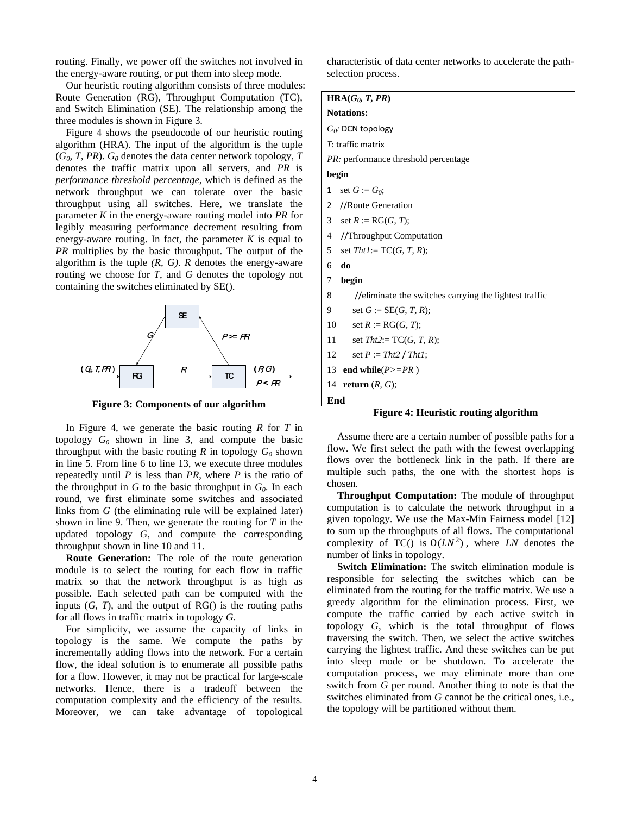routing. Finally, we power off the switches not involved in the energy-aware routing, or put them into sleep mode.

Our heuristic routing algorithm consists of three modules: Route Generation (RG), Throughput Computation (TC), and Switch Elimination (SE). The relationship among the three modules is shown in Figure 3.

Figure 4 shows the pseudocode of our heuristic routing algorithm (HRA). The input of the algorithm is the tuple  $(G_0, T, PR)$ .  $G_0$  denotes the data center network topology, *T* denotes the traffic matrix upon all servers, and *PR* is *performance threshold percentage*, which is defined as the network throughput we can tolerate over the basic throughput using all switches. Here, we translate the parameter *K* in the energy-aware routing model into *PR* for legibly measuring performance decrement resulting from energy-aware routing. In fact, the parameter  $K$  is equal to *PR* multiplies by the basic throughput. The output of the algorithm is the tuple *(R, G)*. *R* denotes the energy-aware routing we choose for *T*, and *G* denotes the topology not containing the switches eliminated by SE().



**Figure 3: Components of our algorithm**

In Figure 4, we generate the basic routing *R* for *T* in topology  $G_0$  shown in line 3, and compute the basic throughput with the basic routing  $R$  in topology  $G_0$  shown in line 5. From line 6 to line 13, we execute three modules repeatedly until *P* is less than *PR*, where *P* is the ratio of the throughput in  $G$  to the basic throughput in  $G_0$ . In each round, we first eliminate some switches and associated links from *G* (the eliminating rule will be explained later) shown in line 9. Then, we generate the routing for *T* in the updated topology *G*, and compute the corresponding throughput shown in line 10 and 11.

**Route Generation:** The role of the route generation module is to select the routing for each flow in traffic matrix so that the network throughput is as high as possible. Each selected path can be computed with the inputs (*G, T*), and the output of RG() is the routing paths for all flows in traffic matrix in topology *G.*

For simplicity, we assume the capacity of links in topology is the same. We compute the paths by incrementally adding flows into the network. For a certain flow, the ideal solution is to enumerate all possible paths for a flow. However, it may not be practical for large-scale networks. Hence, there is a tradeoff between the computation complexity and the efficiency of the results. Moreover, we can take advantage of topological

characteristic of data center networks to accelerate the pathselection process.

| $HRA(G_0, T, PR)$ |  |  |
|-------------------|--|--|
|                   |  |  |

**Notations:**  *G0:* DCN topology *T*: traffic matrix *PR:* performance threshold percentage **begin**  1 set  $G := G_0$ ; 2 //Route Generation 3 set  $R := \text{RG}(G, T)$ ; 4 //Throughput Computation 5 set *Tht1*:= TC(*G, T, R*); 6 **do** 7 **begin**  8 //eliminate the switches carrying the lightest traffic

- 9 set  $G := SE(G, T, R)$ ;
- 10 set  $R := R G(G, T);$
- 11 set *Tht2*:= TC(*G, T, R*);
- 12 set *P* := *Tht2* / *Tht1*;
- 13 **end while** $(P>=PR)$

14 **return** (*R, G*);

```
End
```
## **Figure 4: Heuristic routing algorithm**

Assume there are a certain number of possible paths for a flow. We first select the path with the fewest overlapping flows over the bottleneck link in the path. If there are multiple such paths, the one with the shortest hops is chosen.

**Throughput Computation:** The module of throughput computation is to calculate the network throughput in a given topology. We use the Max-Min Fairness model [12] to sum up the throughputs of all flows. The computational complexity of TC() is  $O(LN^2)$ , where *LN* denotes the number of links in topology.

**Switch Elimination:** The switch elimination module is responsible for selecting the switches which can be eliminated from the routing for the traffic matrix. We use a greedy algorithm for the elimination process. First, we compute the traffic carried by each active switch in topology *G*, which is the total throughput of flows traversing the switch. Then, we select the active switches carrying the lightest traffic. And these switches can be put into sleep mode or be shutdown. To accelerate the computation process, we may eliminate more than one switch from *G* per round. Another thing to note is that the switches eliminated from *G* cannot be the critical ones, i.e., the topology will be partitioned without them.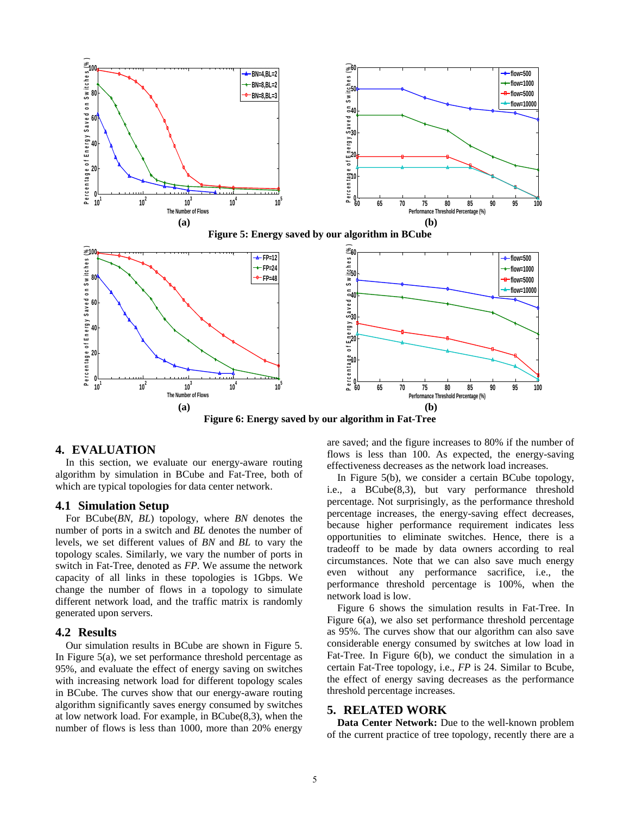

**(a) (b) Figure 6: Energy saved by our algorithm in Fat-Tree** 

## **4. EVALUATION**

In this section, we evaluate our energy-aware routing algorithm by simulation in BCube and Fat-Tree, both of which are typical topologies for data center network.

#### **4.1 Simulation Setup**

For BCube(*BN*, *BL*) topology, where *BN* denotes the number of ports in a switch and *BL* denotes the number of levels, we set different values of *BN* and *BL* to vary the topology scales. Similarly, we vary the number of ports in switch in Fat-Tree, denoted as *FP*. We assume the network capacity of all links in these topologies is 1Gbps. We change the number of flows in a topology to simulate different network load, and the traffic matrix is randomly generated upon servers.

#### **4.2 Results**

Our simulation results in BCube are shown in Figure 5. In Figure  $5(a)$ , we set performance threshold percentage as 95%, and evaluate the effect of energy saving on switches with increasing network load for different topology scales in BCube. The curves show that our energy-aware routing algorithm significantly saves energy consumed by switches at low network load. For example, in BCube(8,3), when the number of flows is less than 1000, more than 20% energy

are saved; and the figure increases to 80% if the number of flows is less than 100. As expected, the energy-saving effectiveness decreases as the network load increases.

**Performance Threshold Percentage (%)** 

In Figure 5(b), we consider a certain BCube topology, i.e., a BCube(8,3), but vary performance threshold percentage. Not surprisingly, as the performance threshold percentage increases, the energy-saving effect decreases, because higher performance requirement indicates less opportunities to eliminate switches. Hence, there is a tradeoff to be made by data owners according to real circumstances. Note that we can also save much energy even without any performance sacrifice, i.e., the performance threshold percentage is 100%, when the network load is low.

Figure 6 shows the simulation results in Fat-Tree. In Figure 6(a), we also set performance threshold percentage as 95%. The curves show that our algorithm can also save considerable energy consumed by switches at low load in Fat-Tree. In Figure 6(b), we conduct the simulation in a certain Fat-Tree topology, i.e., *FP* is 24. Similar to Bcube, the effect of energy saving decreases as the performance threshold percentage increases.

## **5. RELATED WORK**

**Data Center Network:** Due to the well-known problem of the current practice of tree topology, recently there are a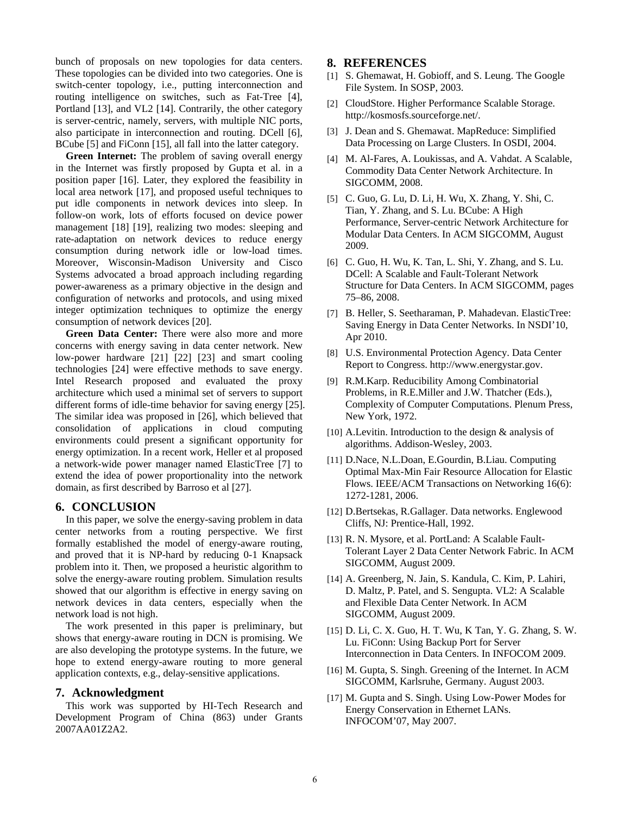bunch of proposals on new topologies for data centers. These topologies can be divided into two categories. One is switch-center topology, i.e., putting interconnection and routing intelligence on switches, such as Fat-Tree [4], Portland [13], and VL2 [14]. Contrarily, the other category is server-centric, namely, servers, with multiple NIC ports, also participate in interconnection and routing. DCell [6], BCube [5] and FiConn [15], all fall into the latter category.

**Green Internet:** The problem of saving overall energy in the Internet was firstly proposed by Gupta et al. in a position paper [16]. Later, they explored the feasibility in local area network [17], and proposed useful techniques to put idle components in network devices into sleep. In follow-on work, lots of efforts focused on device power management [18] [19], realizing two modes: sleeping and rate-adaptation on network devices to reduce energy consumption during network idle or low-load times. Moreover, Wisconsin-Madison University and Cisco Systems advocated a broad approach including regarding power-awareness as a primary objective in the design and configuration of networks and protocols, and using mixed integer optimization techniques to optimize the energy consumption of network devices [20].

**Green Data Center:** There were also more and more concerns with energy saving in data center network. New low-power hardware [21] [22] [23] and smart cooling technologies [24] were effective methods to save energy. Intel Research proposed and evaluated the proxy architecture which used a minimal set of servers to support different forms of idle-time behavior for saving energy [25]. The similar idea was proposed in [26], which believed that consolidation of applications in cloud computing environments could present a significant opportunity for energy optimization. In a recent work, Heller et al proposed a network-wide power manager named ElasticTree [7] to extend the idea of power proportionality into the network domain, as first described by Barroso et al [27].

## **6. CONCLUSION**

In this paper, we solve the energy-saving problem in data center networks from a routing perspective. We first formally established the model of energy-aware routing, and proved that it is NP-hard by reducing 0-1 Knapsack problem into it. Then, we proposed a heuristic algorithm to solve the energy-aware routing problem. Simulation results showed that our algorithm is effective in energy saving on network devices in data centers, especially when the network load is not high.

The work presented in this paper is preliminary, but shows that energy-aware routing in DCN is promising. We are also developing the prototype systems. In the future, we hope to extend energy-aware routing to more general application contexts, e.g., delay-sensitive applications.

## **7. Acknowledgment**

This work was supported by HI-Tech Research and Development Program of China (863) under Grants 2007AA01Z2A2.

# **8. REFERENCES**

- [1] S. Ghemawat, H. Gobioff, and S. Leung. The Google File System. In SOSP, 2003.
- [2] CloudStore. Higher Performance Scalable Storage. http://kosmosfs.sourceforge.net/.
- [3] J. Dean and S. Ghemawat. MapReduce: Simplified Data Processing on Large Clusters. In OSDI, 2004.
- [4] M. Al-Fares, A. Loukissas, and A. Vahdat. A Scalable, Commodity Data Center Network Architecture. In SIGCOMM, 2008.
- [5] C. Guo, G. Lu, D. Li, H. Wu, X. Zhang, Y. Shi, C. Tian, Y. Zhang, and S. Lu. BCube: A High Performance, Server-centric Network Architecture for Modular Data Centers. In ACM SIGCOMM, August 2009.
- [6] C. Guo, H. Wu, K. Tan, L. Shi, Y. Zhang, and S. Lu. DCell: A Scalable and Fault-Tolerant Network Structure for Data Centers. In ACM SIGCOMM, pages 75–86, 2008.
- [7] B. Heller, S. Seetharaman, P. Mahadevan. ElasticTree: Saving Energy in Data Center Networks. In NSDI'10, Apr 2010.
- [8] U.S. Environmental Protection Agency. Data Center Report to Congress. http://www.energystar.gov.
- [9] R.M.Karp. Reducibility Among Combinatorial Problems, in R.E.Miller and J.W. Thatcher (Eds.), Complexity of Computer Computations. Plenum Press, New York, 1972.
- [10] A.Levitin. Introduction to the design & analysis of algorithms. Addison-Wesley, 2003.
- [11] D.Nace, N.L.Doan, E.Gourdin, B.Liau. Computing Optimal Max-Min Fair Resource Allocation for Elastic Flows. IEEE/ACM Transactions on Networking 16(6): 1272-1281, 2006.
- [12] D.Bertsekas, R.Gallager. Data networks. Englewood Cliffs, NJ: Prentice-Hall, 1992.
- [13] R. N. Mysore, et al. PortLand: A Scalable Fault-Tolerant Layer 2 Data Center Network Fabric. In ACM SIGCOMM, August 2009.
- [14] A. Greenberg, N. Jain, S. Kandula, C. Kim, P. Lahiri, D. Maltz, P. Patel, and S. Sengupta. VL2: A Scalable and Flexible Data Center Network. In ACM SIGCOMM, August 2009.
- [15] D. Li, C. X. Guo, H. T. Wu, K Tan, Y. G. Zhang, S. W. Lu. FiConn: Using Backup Port for Server Interconnection in Data Centers. In INFOCOM 2009.
- [16] M. Gupta, S. Singh. Greening of the Internet. In ACM SIGCOMM, Karlsruhe, Germany. August 2003.
- [17] M. Gupta and S. Singh. Using Low-Power Modes for Energy Conservation in Ethernet LANs. INFOCOM'07, May 2007.